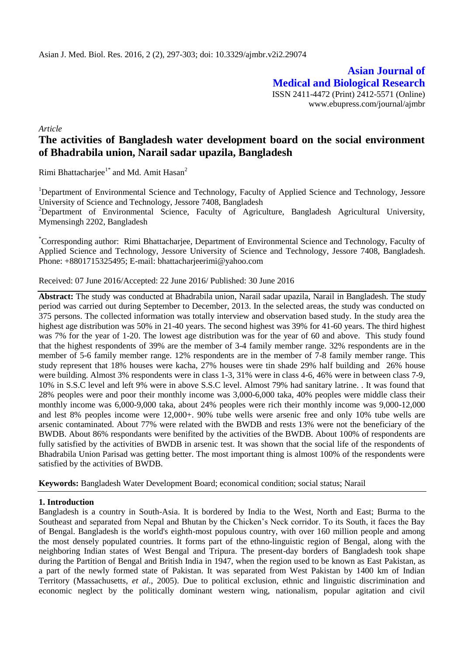**Asian Journal of Medical and Biological Research** ISSN 2411-4472 (Print) 2412-5571 (Online) www.ebupress.com/journal/ajmbr

*Article*

# **The activities of Bangladesh water development board on the social environment of Bhadrabila union, Narail sadar upazila, Bangladesh**

Rimi Bhattacharjee<sup>1\*</sup> and Md. Amit Hasan<sup>2</sup>

<sup>1</sup>Department of Environmental Science and Technology, Faculty of Applied Science and Technology, Jessore University of Science and Technology, Jessore 7408, Bangladesh

<sup>2</sup>Department of Environmental Science, Faculty of Agriculture, Bangladesh Agricultural University, Mymensingh 2202, Bangladesh

\*Corresponding author: Rimi Bhattacharjee, Department of Environmental Science and Technology, Faculty of Applied Science and Technology, Jessore University of Science and Technology, Jessore 7408, Bangladesh. Phone: +8801715325495; E-mail: bhattacharjeerimi@yahoo.com

Received: 07 June 2016/Accepted: 22 June 2016/ Published: 30 June 2016

**Abstract:** The study was conducted at Bhadrabila union, Narail sadar upazila, Narail in Bangladesh. The study period was carried out during September to December, 2013. In the selected areas, the study was conducted on 375 persons. The collected information was totally interview and observation based study. In the study area the highest age distribution was 50% in 21-40 years. The second highest was 39% for 41-60 years. The third highest was 7% for the year of 1-20. The lowest age distribution was for the year of 60 and above. This study found that the highest respondents of 39% are the member of 3-4 family member range. 32% respondents are in the member of 5-6 family member range. 12% respondents are in the member of 7-8 family member range. This study represent that 18% houses were kacha, 27% houses were tin shade 29% half building and 26% house were building. Almost 3% respondents were in class 1-3, 31% were in class 4-6, 46% were in between class 7-9, 10% in S.S.C level and left 9% were in above S.S.C level. Almost 79% had sanitary latrine. . It was found that 28% peoples were and poor their monthly income was 3,000-6,000 taka, 40% peoples were middle class their monthly income was 6,000-9,000 taka, about 24% peoples were rich their monthly income was 9,000-12,000 and lest 8% peoples income were 12,000+. 90% tube wells were arsenic free and only 10% tube wells are arsenic contaminated. About 77% were related with the BWDB and rests 13% were not the beneficiary of the BWDB. About 86% respondants were benifited by the activities of the BWDB. About 100% of respondents are fully satisfied by the activities of BWDB in arsenic test. It was shown that the social life of the respondents of Bhadrabila Union Parisad was getting better. The most important thing is almost 100% of the respondents were satisfied by the activities of BWDB.

**Keywords:** Bangladesh Water Development Board; economical condition; social status; Narail

### **1. Introduction**

Bangladesh is a country in South-Asia. It is bordered by India to the West, North and East; Burma to the Southeast and separated from Nepal and Bhutan by the Chicken's Neck corridor. To its South, it faces the Bay of Bengal. Bangladesh is the world's eighth-most populous country, with over 160 million people and among the most densely populated countries. It forms part of the ethno-linguistic region of Bengal, along with the neighboring Indian states of West Bengal and Tripura. The present-day borders of Bangladesh took shape during the Partition of Bengal and British India in 1947, when the region used to be known as East Pakistan, as a part of the newly formed state of Pakistan. It was separated from West Pakistan by 1400 km of Indian Territory (Massachusetts, *et al.*, 2005). Due to political exclusion, ethnic and linguistic discrimination and economic neglect by the politically dominant western wing, nationalism, popular agitation and civil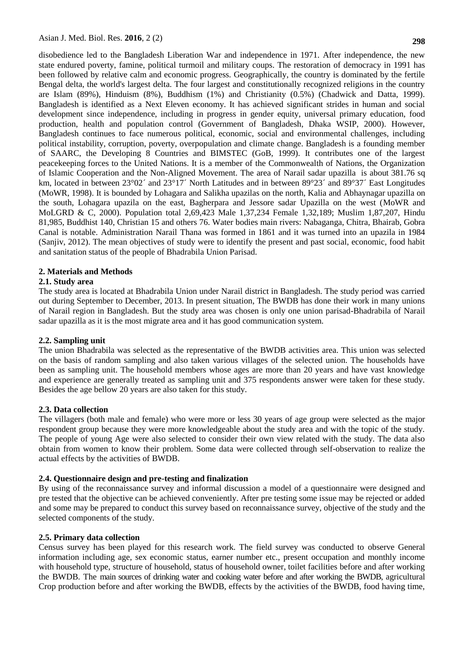disobedience led to the Bangladesh Liberation War and independence in 1971. After independence, the new state endured poverty, famine, political turmoil and military coups. The restoration of democracy in 1991 has been followed by relative calm and economic progress. Geographically, the country is dominated by the fertile Bengal delta, the world's largest delta. The four largest and constitutionally recognized religions in the country are Islam (89%), Hinduism (8%), Buddhism (1%) and Christianity (0.5%) (Chadwick and Datta, 1999). Bangladesh is identified as a Next Eleven economy. It has achieved significant strides in human and social development since independence, including in progress in gender equity, universal primary education, food production, health and population control (Government of Bangladesh, Dhaka WSIP, 2000). However, Bangladesh continues to face numerous political, economic, social and environmental challenges, including political instability, corruption, poverty, overpopulation and climate change. Bangladesh is a founding member of SAARC, the Developing 8 Countries and BIMSTEC (GoB, 1999). It contributes one of the largest peacekeeping forces to the United Nations. It is a member of the Commonwealth of Nations, the Organization of Islamic Cooperation and the Non-Aligned Movement. The area of Narail sadar upazilla is about 381.76 sq km, located in between 23°02´ and 23°17´ North Latitudes and in between 89°23´ and 89°37´ East Longitudes (MoWR, 1998). It is bounded by Lohagara and Salikha upazilas on the north, Kalia and Abhaynagar upazilla on the south, Lohagara upazila on the east, Bagherpara and Jessore sadar Upazilla on the west (MoWR and MoLGRD & C, 2000). Population total 2,69,423 Male 1,37,234 Female 1,32,189; Muslim 1,87,207, Hindu 81,985, Buddhist 140, Christian 15 and others 76. Water bodies main rivers: Nabaganga, Chitra, Bhairab, Gobra Canal is notable. Administration Narail Thana was formed in 1861 and it was turned into an upazila in 1984 (Sanjiv, 2012). The mean objectives of study were to identify the present and past social, economic, food habit and sanitation status of the people of Bhadrabila Union Parisad.

### **2. Materials and Methods**

# **2.1. Study area**

The study area is located at Bhadrabila Union under Narail district in Bangladesh. The study period was carried out during September to December, 2013. In present situation, The BWDB has done their work in many unions of Narail region in Bangladesh. But the study area was chosen is only one union parisad-Bhadrabila of Narail sadar upazilla as it is the most migrate area and it has good communication system.

### **2.2. Sampling unit**

The union Bhadrabila was selected as the representative of the BWDB activities area. This union was selected on the basis of random sampling and also taken various villages of the selected union. The households have been as sampling unit. The household members whose ages are more than 20 years and have vast knowledge and experience are generally treated as sampling unit and 375 respondents answer were taken for these study. Besides the age bellow 20 years are also taken for this study.

### **2.3. Data collection**

The villagers (both male and female) who were more or less 30 years of age group were selected as the major respondent group because they were more knowledgeable about the study area and with the topic of the study. The people of young Age were also selected to consider their own view related with the study. The data also obtain from women to know their problem. Some data were collected through self-observation to realize the actual effects by the activities of BWDB.

### **2.4. Questionnaire design and pre-testing and finalization**

By using of the reconnaissance survey and informal discussion a model of a questionnaire were designed and pre tested that the objective can be achieved conveniently. After pre testing some issue may be rejected or added and some may be prepared to conduct this survey based on reconnaissance survey, objective of the study and the selected components of the study.

### **2.5. Primary data collection**

Census survey has been played for this research work. The field survey was conducted to observe General information including age, sex economic status, earner number etc., present occupation and monthly income with household type, structure of household, status of household owner, toilet facilities before and after working the BWDB. The main sources of drinking water and cooking water before and after working the BWDB, agricultural Crop production before and after working the BWDB, effects by the activities of the BWDB, food having time,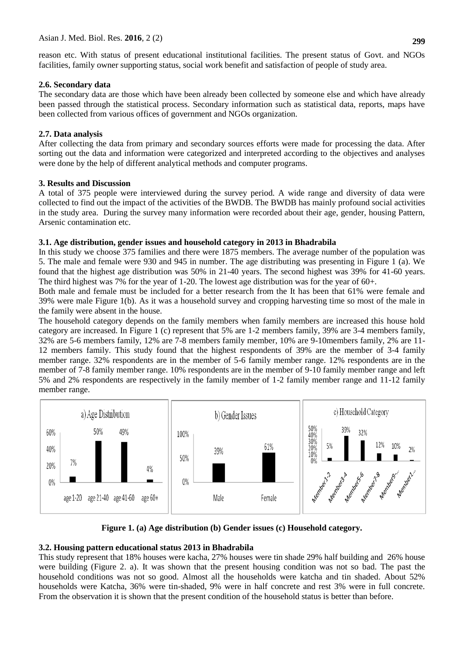reason etc. With status of present educational institutional facilities. The present status of Govt. and NGOs facilities, family owner supporting status, social work benefit and satisfaction of people of study area.

# **2.6. Secondary data**

The secondary data are those which have been already been collected by someone else and which have already been passed through the statistical process. Secondary information such as statistical data, reports, maps have been collected from various offices of government and NGOs organization.

# **2.7. Data analysis**

After collecting the data from primary and secondary sources efforts were made for processing the data. After sorting out the data and information were categorized and interpreted according to the objectives and analyses were done by the help of different analytical methods and computer programs.

# **3. Results and Discussion**

A total of 375 people were interviewed during the survey period. A wide range and diversity of data were collected to find out the impact of the activities of the BWDB. The BWDB has mainly profound social activities in the study area. During the survey many information were recorded about their age, gender, housing Pattern, Arsenic contamination etc.

# **3.1. Age distribution, gender issues and household category in 2013 in Bhadrabila**

In this study we choose 375 families and there were 1875 members. The average number of the population was 5. The male and female were 930 and 945 in number. The age distributing was presenting in Figure 1 (a). We found that the highest age distribution was 50% in 21-40 years. The second highest was 39% for 41-60 years. The third highest was 7% for the year of 1-20. The lowest age distribution was for the year of 60+.

Both male and female must be included for a better research from the It has been that 61% were female and 39% were male Figure 1(b). As it was a household survey and cropping harvesting time so most of the male in the family were absent in the house.

The household category depends on the family members when family members are increased this house hold category are increased. In Figure 1 (c) represent that 5% are 1-2 members family, 39% are 3-4 members family, 32% are 5-6 members family, 12% are 7-8 members family member, 10% are 9-10members family, 2% are 11- 12 members family. This study found that the highest respondents of 39% are the member of 3-4 family member range. 32% respondents are in the member of 5-6 family member range. 12% respondents are in the member of 7-8 family member range. 10% respondents are in the member of 9-10 family member range and left 5% and 2% respondents are respectively in the family member of 1-2 family member range and 11-12 family member range.



**Figure 1. (a) Age distribution (b) Gender issues (c) Household category.**

# **3.2. Housing pattern educational status 2013 in Bhadrabila**

This study represent that 18% houses were kacha, 27% houses were tin shade 29% half building and 26% house were building (Figure 2. a). It was shown that the present housing condition was not so bad. The past the household conditions was not so good. Almost all the households were katcha and tin shaded. About 52% households were Katcha, 36% were tin-shaded, 9% were in half concrete and rest 3% were in full concrete. From the observation it is shown that the present condition of the household status is better than before.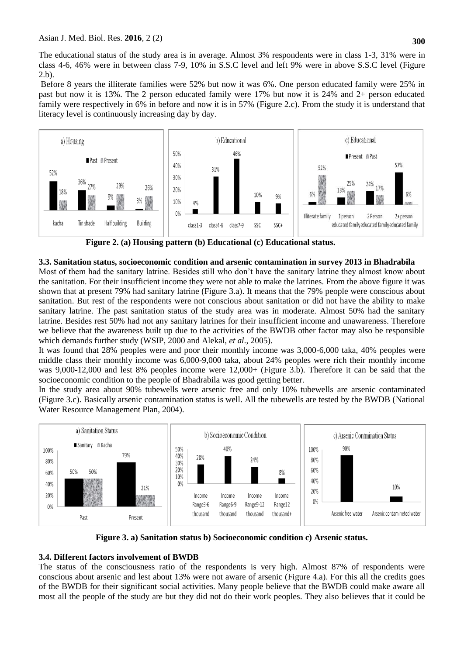The educational status of the study area is in average. Almost 3% respondents were in class 1-3, 31% were in class 4-6, 46% were in between class 7-9, 10% in S.S.C level and left 9% were in above S.S.C level (Figure 2.b).

Before 8 years the illiterate families were 52% but now it was 6%. One person educated family were 25% in past but now it is 13%. The 2 person educated family were 17% but now it is 24% and 2+ person educated family were respectively in 6% in before and now it is in 57% (Figure 2.c). From the study it is understand that literacy level is continuously increasing day by day.



**Figure 2. (a) Housing pattern (b) Educational (c) Educational status.**

# **3.3. Sanitation status, socioeconomic condition and arsenic contamination in survey 2013 in Bhadrabila**

Most of them had the sanitary latrine. Besides still who don't have the sanitary latrine they almost know about the sanitation. For their insufficient income they were not able to make the latrines. From the above figure it was shown that at present 79% had sanitary latrine (Figure 3.a). It means that the 79% people were conscious about sanitation. But rest of the respondents were not conscious about sanitation or did not have the ability to make sanitary latrine. The past sanitation status of the study area was in moderate. Almost 50% had the sanitary latrine. Besides rest 50% had not any sanitary latrines for their insufficient income and unawareness. Therefore we believe that the awareness built up due to the activities of the BWDB other factor may also be responsible which demands further study (WSIP, 2000 and Alekal, *et al*., 2005).

It was found that 28% peoples were and poor their monthly income was 3,000-6,000 taka, 40% peoples were middle class their monthly income was 6,000-9,000 taka, about 24% peoples were rich their monthly income was 9,000-12,000 and lest 8% peoples income were 12,000+ (Figure 3.b). Therefore it can be said that the socioeconomic condition to the people of Bhadrabila was good getting better.

In the study area about 90% tubewells were arsenic free and only 10% tubewells are arsenic contaminated (Figure 3.c). Basically arsenic contamination status is well. All the tubewells are tested by the BWDB (National Water Resource Management Plan, 2004).



**Figure 3. a) Sanitation status b) Socioeconomic condition c) Arsenic status.**

# **3.4. Different factors involvement of BWDB**

The status of the consciousness ratio of the respondents is very high. Almost 87% of respondents were conscious about arsenic and lest about 13% were not aware of arsenic (Figure 4.a). For this all the credits goes of the BWDB for their significant social activities. Many people believe that the BWDB could make aware all most all the people of the study are but they did not do their work peoples. They also believes that it could be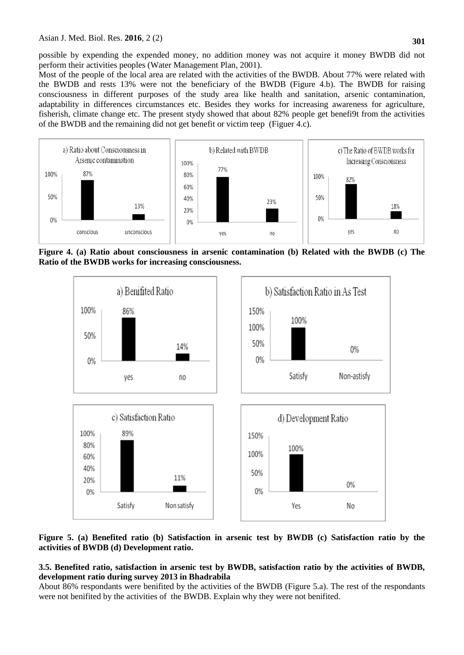possible by expending the expended money, no addition money was not acquire it money BWDB did not perform their activities peoples (Water Management Plan, 2001).

Most of the people of the local area are related with the activities of the BWDB. About 77% were related with the BWDB and rests 13% were not the beneficiary of the BWDB (Figure 4.b). The BWDB for raising consciousness in different purposes of the study area like health and sanitation, arsenic contamination, adaptability in differences circumstances etc. Besides they works for increasing awareness for agriculture, fisherish, climate change etc. The present stydy showed that about 82% people get benefi9t from the activities of the BWDB and the remaining did not get benefit or victim teep (Figuer 4.c).



**Figure 4. (a) Ratio about consciousness in arsenic contamination (b) Related with the BWDB (c) The Ratio of the BWDB works for increasing consciousness.**



### **Figure 5. (a) Benefited ratio (b) Satisfaction in arsenic test by BWDB (c) Satisfaction ratio by the activities of BWDB (d) Development ratio.**

### **3.5. Benefited ratio, satisfaction in arsenic test by BWDB, satisfaction ratio by the activities of BWDB, development ratio during survey 2013 in Bhadrabila**

About 86% respondants were benifited by the activities of the BWDB (Figure 5.a). The rest of the respondants were not benifited by the activities of the BWDB. Explain why they were not benifited.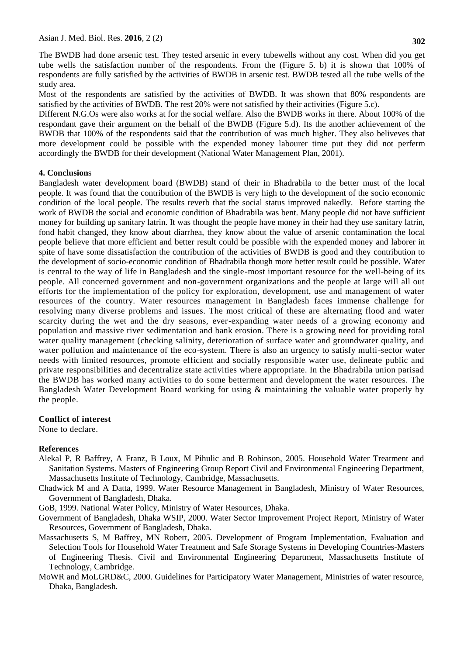The BWDB had done arsenic test. They tested arsenic in every tubewells without any cost. When did you get tube wells the satisfaction number of the respondents. From the (Figure 5. b) it is shown that 100% of respondents are fully satisfied by the activities of BWDB in arsenic test. BWDB tested all the tube wells of the study area.

Most of the respondents are satisfied by the activities of BWDB. It was shown that 80% respondents are satisfied by the activities of BWDB. The rest 20% were not satisfied by their activities (Figure 5.c).

Different N.G.Os were also works at for the social welfare. Also the BWDB works in there. About 100% of the respondant gave their argument on the behalf of the BWDB (Figure 5.d). Its the another achievement of the BWDB that 100% of the respondents said that the contribution of was much higher. They also beliveves that more development could be possible with the expended money labourer time put they did not perferm accordingly the BWDB for their development (National Water Management Plan, 2001).

#### **4. Conclusion**s

Bangladesh water development board (BWDB) stand of their in Bhadrabila to the better must of the local people. It was found that the contribution of the BWDB is very high to the development of the socio economic condition of the local people. The results reverb that the social status improved nakedly. Before starting the work of BWDB the social and economic condition of Bhadrabila was bent. Many people did not have sufficient money for building up sanitary latrin. It was thought the people have money in their had they use sanitary latrin, fond habit changed, they know about diarrhea, they know about the value of arsenic contamination the local people believe that more efficient and better result could be possible with the expended money and laborer in spite of have some dissatisfaction the contribution of the activities of BWDB is good and they contribution to the development of socio-economic condition of Bhadrabila though more better result could be possible. Water is central to the way of life in Bangladesh and the single-most important resource for the well-being of its people. All concerned government and non-government organizations and the people at large will all out efforts for the implementation of the policy for exploration, development, use and management of water resources of the country. Water resources management in Bangladesh faces immense challenge for resolving many diverse problems and issues. The most critical of these are alternating flood and water scarcity during the wet and the dry seasons, ever-expanding water needs of a growing economy and population and massive river sedimentation and bank erosion. There is a growing need for providing total water quality management (checking salinity, deterioration of surface water and groundwater quality, and water pollution and maintenance of the eco-system. There is also an urgency to satisfy multi-sector water needs with limited resources, promote efficient and socially responsible water use, delineate public and private responsibilities and decentralize state activities where appropriate. In the Bhadrabila union parisad the BWDB has worked many activities to do some betterment and development the water resources. The Bangladesh Water Development Board working for using & maintaining the valuable water properly by the people.

#### **Conflict of interest**

None to declare.

#### **References**

- Alekal P, R Baffrey, A Franz, B Loux, M Pihulic and B Robinson, 2005. Household Water Treatment and Sanitation Systems. Masters of Engineering Group Report Civil and Environmental Engineering Department, Massachusetts Institute of Technology, Cambridge, Massachusetts.
- Chadwick M and A Datta, 1999. Water Resource Management in Bangladesh, Ministry of Water Resources, Government of Bangladesh, Dhaka.

GoB, 1999. National Water Policy, Ministry of Water Resources, Dhaka.

- Government of Bangladesh, Dhaka WSIP, 2000. Water Sector Improvement Project Report, Ministry of Water Resources, Government of Bangladesh, Dhaka.
- Massachusetts S, M Baffrey, MN Robert, 2005. Development of Program Implementation, Evaluation and Selection Tools for Household Water Treatment and Safe Storage Systems in Developing Countries-Masters of Engineering Thesis. Civil and Environmental Engineering Department, Massachusetts Institute of Technology, Cambridge.
- MoWR and MoLGRD&C, 2000. Guidelines for Participatory Water Management, Ministries of water resource, Dhaka, Bangladesh.